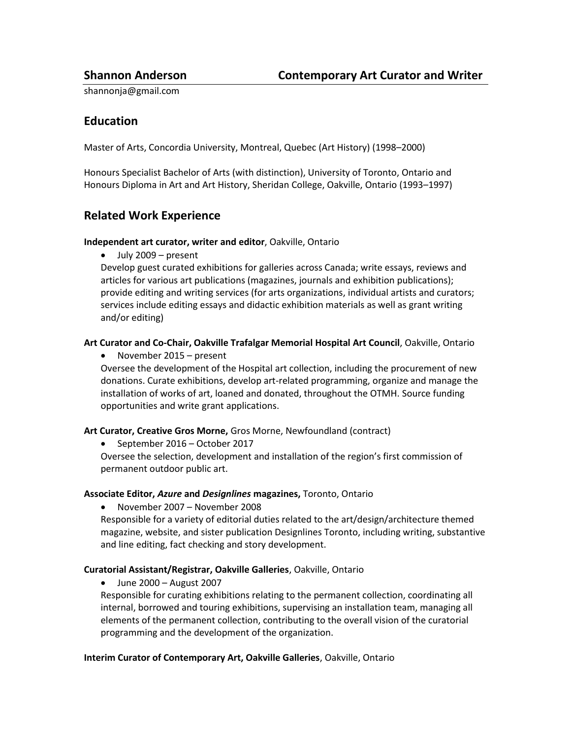shannonja@gmail.com

## **Education**

Master of Arts, Concordia University, Montreal, Quebec (Art History) (1998–2000)

Honours Specialist Bachelor of Arts (with distinction), University of Toronto, Ontario and Honours Diploma in Art and Art History, Sheridan College, Oakville, Ontario (1993–1997)

## **Related Work Experience**

#### **Independent art curator, writer and editor**, Oakville, Ontario

July 2009 – present

Develop guest curated exhibitions for galleries across Canada; write essays, reviews and articles for various art publications (magazines, journals and exhibition publications); provide editing and writing services (for arts organizations, individual artists and curators; services include editing essays and didactic exhibition materials as well as grant writing and/or editing)

### **Art Curator and Co-Chair, Oakville Trafalgar Memorial Hospital Art Council**, Oakville, Ontario

November 2015 – present

Oversee the development of the Hospital art collection, including the procurement of new donations. Curate exhibitions, develop art-related programming, organize and manage the installation of works of art, loaned and donated, throughout the OTMH. Source funding opportunities and write grant applications.

#### **Art Curator, Creative Gros Morne,** Gros Morne, Newfoundland (contract)

• September 2016 – October 2017

Oversee the selection, development and installation of the region's first commission of permanent outdoor public art.

#### **Associate Editor,** *Azure* **and** *Designlines* **magazines,** Toronto, Ontario

November 2007 – November 2008

Responsible for a variety of editorial duties related to the art/design/architecture themed magazine, website, and sister publication Designlines Toronto, including writing, substantive and line editing, fact checking and story development.

#### **Curatorial Assistant/Registrar, Oakville Galleries**, Oakville, Ontario

June 2000 – August 2007

Responsible for curating exhibitions relating to the permanent collection, coordinating all internal, borrowed and touring exhibitions, supervising an installation team, managing all elements of the permanent collection, contributing to the overall vision of the curatorial programming and the development of the organization.

#### **Interim Curator of Contemporary Art, Oakville Galleries**, Oakville, Ontario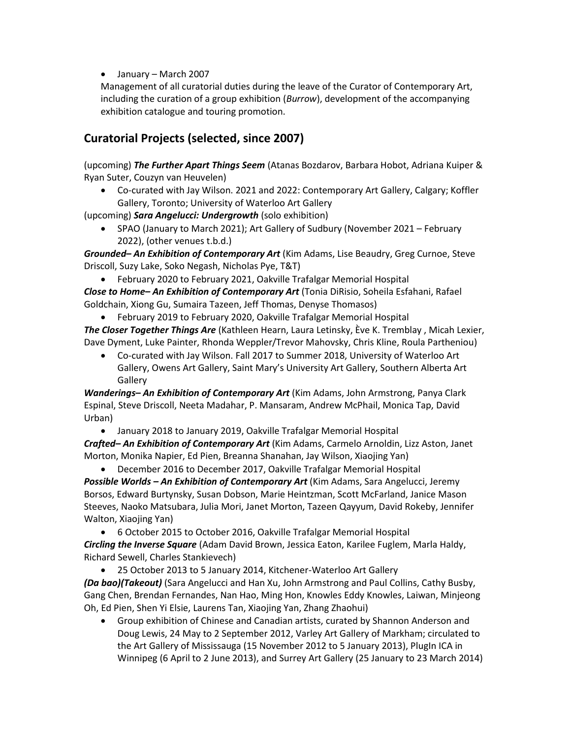January – March 2007

Management of all curatorial duties during the leave of the Curator of Contemporary Art, including the curation of a group exhibition (*Burrow*), development of the accompanying exhibition catalogue and touring promotion.

# **Curatorial Projects (selected, since 2007)**

(upcoming) *The Further Apart Things Seem* (Atanas Bozdarov, Barbara Hobot, Adriana Kuiper & Ryan Suter, Couzyn van Heuvelen)

 Co-curated with Jay Wilson. 2021 and 2022: Contemporary Art Gallery, Calgary; Koffler Gallery, Toronto; University of Waterloo Art Gallery

(upcoming) *Sara Angelucci: Undergrowth* (solo exhibition)

 SPAO (January to March 2021); Art Gallery of Sudbury (November 2021 – February 2022), (other venues t.b.d.)

*Grounded– An Exhibition of Contemporary Art* (Kim Adams, Lise Beaudry, Greg Curnoe, Steve Driscoll, Suzy Lake, Soko Negash, Nicholas Pye, T&T)

February 2020 to February 2021, Oakville Trafalgar Memorial Hospital

*Close to Home– An Exhibition of Contemporary Art* (Tonia DiRisio, Soheila Esfahani, Rafael Goldchain, Xiong Gu, Sumaira Tazeen, Jeff Thomas, Denyse Thomasos)

February 2019 to February 2020, Oakville Trafalgar Memorial Hospital

*The Closer Together Things Are* (Kathleen Hearn, Laura Letinsky, Ève K. Tremblay , Micah Lexier, Dave Dyment, Luke Painter, Rhonda Weppler/Trevor Mahovsky, Chris Kline, Roula Partheniou)

 Co-curated with Jay Wilson. Fall 2017 to Summer 2018, University of Waterloo Art Gallery, Owens Art Gallery, Saint Mary's University Art Gallery, Southern Alberta Art **Gallery** 

*Wanderings– An Exhibition of Contemporary Art* (Kim Adams, John Armstrong, Panya Clark Espinal, Steve Driscoll, Neeta Madahar, P. Mansaram, Andrew McPhail, Monica Tap, David Urban)

January 2018 to January 2019, Oakville Trafalgar Memorial Hospital

*Crafted– An Exhibition of Contemporary Art* (Kim Adams, Carmelo Arnoldin, Lizz Aston, Janet Morton, Monika Napier, Ed Pien, Breanna Shanahan, Jay Wilson, Xiaojing Yan)

 December 2016 to December 2017, Oakville Trafalgar Memorial Hospital *Possible Worlds – An Exhibition of Contemporary Art* (Kim Adams, Sara Angelucci, Jeremy Borsos, Edward Burtynsky, Susan Dobson, Marie Heintzman, Scott McFarland, Janice Mason Steeves, Naoko Matsubara, Julia Mori, Janet Morton, Tazeen Qayyum, David Rokeby, Jennifer Walton, Xiaojing Yan)

 6 October 2015 to October 2016, Oakville Trafalgar Memorial Hospital *Circling the Inverse Square* (Adam David Brown, Jessica Eaton, Karilee Fuglem, Marla Haldy, Richard Sewell, Charles Stankievech)

25 October 2013 to 5 January 2014, Kitchener-Waterloo Art Gallery

*(Da bao)(Takeout)* (Sara Angelucci and Han Xu, John Armstrong and Paul Collins, Cathy Busby, Gang Chen, Brendan Fernandes, Nan Hao, Ming Hon, Knowles Eddy Knowles, Laiwan, Minjeong Oh, Ed Pien, Shen Yi Elsie, Laurens Tan, Xiaojing Yan, Zhang Zhaohui)

 Group exhibition of Chinese and Canadian artists, curated by Shannon Anderson and Doug Lewis, 24 May to 2 September 2012, Varley Art Gallery of Markham; circulated to the Art Gallery of Mississauga (15 November 2012 to 5 January 2013), PlugIn ICA in Winnipeg (6 April to 2 June 2013), and Surrey Art Gallery (25 January to 23 March 2014)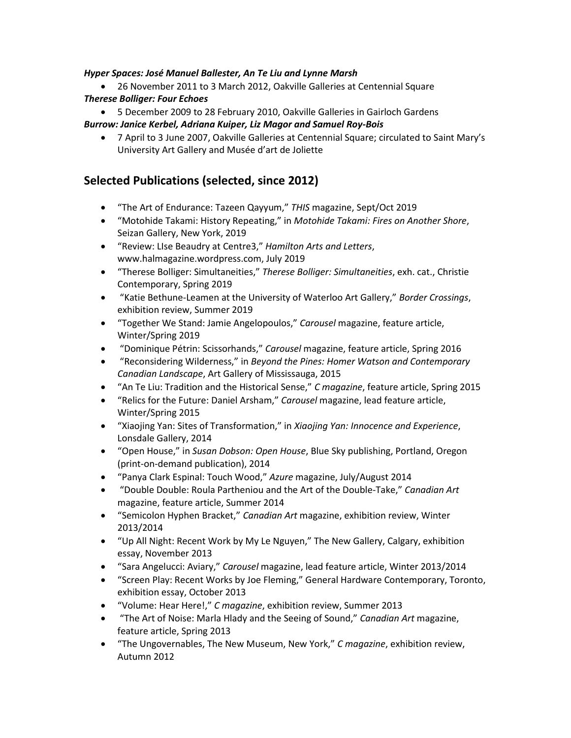### *Hyper Spaces: José Manuel Ballester, An Te Liu and Lynne Marsh*

- 26 November 2011 to 3 March 2012, Oakville Galleries at Centennial Square *Therese Bolliger: Four Echoes*
- 5 December 2009 to 28 February 2010, Oakville Galleries in Gairloch Gardens *Burrow: Janice Kerbel, Adriana Kuiper, Liz Magor and Samuel Roy-Bois*
	- 7 April to 3 June 2007, Oakville Galleries at Centennial Square; circulated to Saint Mary's University Art Gallery and Musée d'art de Joliette

## **Selected Publications (selected, since 2012)**

- "The Art of Endurance: Tazeen Qayyum," *THIS* magazine, Sept/Oct 2019
- "Motohide Takami: History Repeating," in *Motohide Takami: Fires on Another Shore*, Seizan Gallery, New York, 2019
- "Review: LIse Beaudry at Centre3," *Hamilton Arts and Letters*, www.halmagazine.wordpress.com, July 2019
- "Therese Bolliger: Simultaneities," *Therese Bolliger: Simultaneities*, exh. cat., Christie Contemporary, Spring 2019
- "Katie Bethune-Leamen at the University of Waterloo Art Gallery," *Border Crossings*, exhibition review, Summer 2019
- "Together We Stand: Jamie Angelopoulos," *Carousel* magazine, feature article, Winter/Spring 2019
- "Dominique Pétrin: Scissorhands," *Carousel* magazine, feature article, Spring 2016
- "Reconsidering Wilderness," in *Beyond the Pines: Homer Watson and Contemporary Canadian Landscape*, Art Gallery of Mississauga, 2015
- "An Te Liu: Tradition and the Historical Sense," *C magazine*, feature article, Spring 2015
- "Relics for the Future: Daniel Arsham," *Carousel* magazine, lead feature article, Winter/Spring 2015
- "Xiaojing Yan: Sites of Transformation," in *Xiaojing Yan: Innocence and Experience*, Lonsdale Gallery, 2014
- "Open House," in *Susan Dobson: Open House*, Blue Sky publishing, Portland, Oregon (print-on-demand publication), 2014
- "Panya Clark Espinal: Touch Wood," *Azure* magazine, July/August 2014
- "Double Double: Roula Partheniou and the Art of the Double-Take," *Canadian Art* magazine, feature article, Summer 2014
- "Semicolon Hyphen Bracket," *Canadian Art* magazine, exhibition review, Winter 2013/2014
- "Up All Night: Recent Work by My Le Nguyen," The New Gallery, Calgary, exhibition essay, November 2013
- "Sara Angelucci: Aviary," *Carousel* magazine, lead feature article, Winter 2013/2014
- "Screen Play: Recent Works by Joe Fleming," General Hardware Contemporary, Toronto, exhibition essay, October 2013
- "Volume: Hear Here!," *C magazine*, exhibition review, Summer 2013
- "The Art of Noise: Marla Hlady and the Seeing of Sound," *Canadian Art* magazine, feature article, Spring 2013
- "The Ungovernables, The New Museum, New York," *C magazine*, exhibition review, Autumn 2012